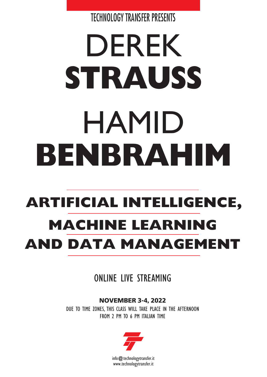TECHNOLOGY TRANSFER PRESENTS

# DEREK **STRAUSS** HAMID **BENBRAHIM**

# **ARTIFICIAL INTELLIGENCE, MACHINE LEARNING AND DATA MANAGEMENT**

ONLINE LIVE STREAMING

**NOVEMBER 3-4, 2022** DUE TO TIME ZONES, THIS CLASS WILL TAKE PLACE IN THE AFTERNOON FROM 2 PM TO 6 PM ITALIAN TIME

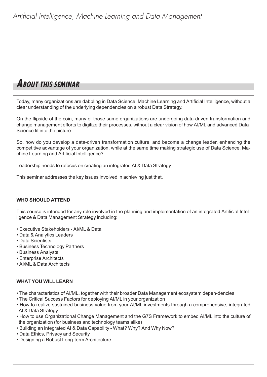## **ABOUT THIS SEMINAR**

Today, many organizations are dabbling in Data Science, Machine Learning and Artificial Intelligence, without a clear understanding of the underlying dependencies on a robust Data Strategy.

On the flipside of the coin, many of those same organizations are undergoing data-driven transformation and change management efforts to digitize their processes, without a clear vision of how AI/ML and advanced Data Science fit into the picture.

So, how do you develop a data-driven transformation culture, and become a change leader, enhancing the competitive advantage of your organization, while at the same time making strategic use of Data Science, Machine Learning and Artificial Intelligence?

Leadership needs to refocus on creating an integrated AI & Data Strategy.

This seminar addresses the key issues involved in achieving just that.

#### **WHO SHOULD ATTEND**

This course is intended for any role involved in the planning and implementation of an integrated Artificial Intelligence & Data Management Strategy including:

- Executive Stakeholders AI/ML & Data
- Data & Analytics Leaders
- Data Scientists
- Business Technology Partners
- Business Analysts
- Enterprise Architects
- AI/ML & Data Architects

#### **WHAT YOU WILL LEARN**

- The characteristics of AI/ML, together with their broader Data Management ecosystem depen-dencies
- The Critical Success Factors for deploying AI/ML in your organization
- How to realize sustained business value from your AI/ML investments through a comprehensive, integrated AI & Data Strategy
- How to use Organizational Change Management and the G7S Framework to embed AI/ML into the culture of the organization (for business and technology teams alike)
- Building an integrated AI & Data Capability What? Why? And Why Now?
- Data Ethics, Privacy and Security
- Designing a Robust Long-term Architecture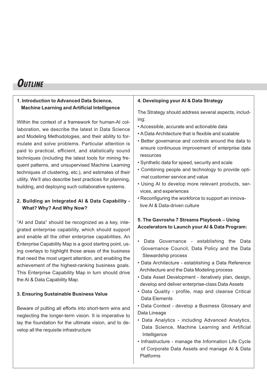### **OUTLINE**

#### **1. Introduction to Advanced Data Science, Machine Learning and Artificial Intelligence**

Within the context of a framework for human-AI collaboration, we describe the latest in Data Science and Modeling Methodologies, and their ability to formulate and solve problems. Particular attention is paid to practical, efficient, and statistically sound techniques (including the latest tools for mining frequent patterns, and unsupervised Machine Learning techniques of clustering, etc.), and estimates of their utility. We'll also describe best practices for planning, building, and deploying such collaborative systems.

#### **2. Building an Integrated AI & Data Capability - What? Why? And Why Now?**

"AI and Data" should be recognized as a key, integrated enterprise capability, which should support and enable all the other enterprise capabilities. An Enterprise Capability Map is a good starting point, using overlays to highlight those areas of the business that need the most urgent attention, and enabling the achievement of the highest-ranking business goals. This Enterprise Capability Map in turn should drive the AI & Data Capability Map.

#### **3. Ensuring Sustainable Business Value**

Beware of putting all efforts into short-term wins and neglecting the longer-term vision. It is imperative to lay the foundation for the ultimate vision, and to develop all the requisite infrastructure

#### **4. Developing your AI & Data Strategy**

The Strategy should address several aspects, including:

- Accessible, accurate and actionable data
- A Data Architecture that is flexible and scalable
- Better governance and controls around the data to ensure continuous improvement of enterprise data resources
- Synthetic data for speed, security and scale
- Combining people and technology to provide optimal customer service and value
- Using AI to develop more relevant products, services, and experiences
- Reconfiguring the workforce to support an innovative AI & Data-driven culture

#### **5. The Gavroshe 7 Streams Playbook – Using Accelerators to Launch your AI & Data Program:**

- Data Governance establishing the Data Governance Council, Data Policy and the Data Stewardship process
- Data Architecture establishing a Data Reference Architecture and the Data Modeling process
- Data Asset Development iteratively plan, design, develop and deliver enterprise-class Data Assets
- Data Quality profile, map and cleanse Critical Data Elements
- Data Context develop a Business Glossary and Data Lineage
- Data Analytics including Advanced Analytics, Data Science, Machine Learning and Artificial Intelligence
- Infrastructure manage the Information Life Cycle of Corporate Data Assets and manage AI & Data Platforms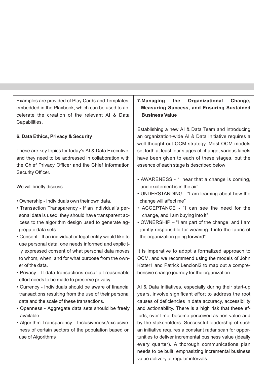Examples are provided of Play Cards and Templates, embedded in the Playbook, which can be used to accelerate the creation of the relevant AI & Data Capabilities.

#### **6. Data Ethics, Privacy & Security**

These are key topics for today's AI & Data Executive, and they need to be addressed in collaboration with the Chief Privacy Officer and the Chief Information Security Officer.

We will briefly discuss:

- Ownership Individuals own their own data.
- Transaction Transparency If an individual's personal data is used, they should have transparent access to the algorithm design used to generate aggregate data sets
- Consent If an individual or legal entity would like to use personal data, one needs informed and explicitly expressed consent of what personal data moves to whom, when, and for what purpose from the owner of the data.
- Privacy If data transactions occur all reasonable effort needs to be made to preserve privacy.
- Currency Individuals should be aware of financial transactions resulting from the use of their personal data and the scale of these transactions.
- Openness Aggregate data sets should be freely available
- Algorithm Transparency Inclusiveness/exclusiveness of certain sectors of the population based on use of Algorithms

#### **7.Managing the Organizational Change, Measuring Success, and Ensuring Sustained Business Value**

Establishing a new AI & Data Team and introducing an organization-wide AI & Data Initiative requires a well-thought-out OCM strategy. Most OCM models set forth at least four stages of change; various labels have been given to each of these stages, but the essence of each stage is described below:

- AWARENESS "I hear that a change is coming, and excitement is in the air"
- UNDERSTANDING "I am learning about how the change will affect me"
- ACCEPTANCE "I can see the need for the change, and I am buying into it"
- OWNERSHIP "I am part of the change, and I am jointly responsible for weaving it into the fabric of the organization going forward"

It is imperative to adopt a formalized approach to OCM, and we recommend using the models of John Kotter1 and Patrick Lencioni2 to map out a comprehensive change journey for the organization.

AI & Data Initiatives, especially during their start-up years, involve significant effort to address the root causes of deficiencies in data accuracy, accessibility and actionability. There is a high risk that these efforts, over time, become perceived as non-value-add by the stakeholders. Successful leadership of such an initiative requires a constant radar scan for opportunities to deliver incremental business value (ideally every quarter). A thorough communications plan needs to be built, emphasizing incremental business value delivery at regular intervals.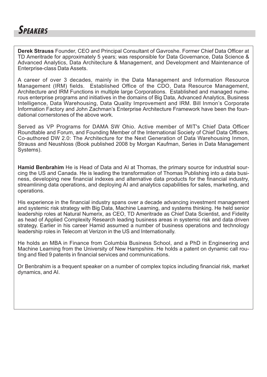

**Derek Strauss** Founder, CEO and Principal Consultant of Gavroshe. Former Chief Data Officer at TD Ameritrade for approximately 5 years; was responsible for Data Governance, Data Science & Advanced Analytics, Data Architecture & Management, and Development and Maintenance of Enterprise-class Data Assets.

A career of over 3 decades, mainly in the Data Management and Information Resource Management (IRM) fields. Established Office of the CDO, Data Resource Management, Architecture and IRM Functions in multiple large Corporations. Established and managed numerous enterprise programs and initiatives in the domains of Big Data, Advanced Analytics, Business Intelligence, Data Warehousing, Data Quality Improvement and IRM. Bill Inmon's Corporate Information Factory and John Zachman's Enterprise Architecture Framework have been the foundational cornerstones of the above work.

Served as VP Programs for DAMA SW Ohio. Active member of MIT's Chief Data Officer Roundtable and Forum, and Founding Member of the International Society of Chief Data Officers. Co-authored DW 2.0: The Architecture for the Next Generation of Data Warehousing Inmon, Strauss and Neushloss (Book published 2008 by Morgan Kaufman, Series in Data Management Systems).

**Hamid Benbrahim** He is Head of Data and AI at Thomas, the primary source for industrial sourcing the US and Canada. He is leading the transformation of Thomas Publishing into a data business, developing new financial indexes and alternative data products for the financial industry, streamlining data operations, and deploying AI and analytics capabilities for sales, marketing, and operations.

His experience in the financial industry spans over a decade advancing investment management and systemic risk strategy with Big Data, Machine Learning, and systems thinking. He held senior leadership roles at Natural Numerix, as CEO, TD Ameritrade as Chief Data Scientist, and Fidelity as head of Applied Complexity Research leading business areas in systemic risk and data driven strategy. Earlier in his career Hamid assumed a number of business operations and technology leadership roles in Telecom at Verizon in the US and Internationally.

He holds an MBA in Finance from Columbia Business School, and a PhD in Engineering and Machine Learning from the University of New Hampshire. He holds a patent on dynamic call routing and filed 9 patents in financial services and communications.

Dr Benbrahim is a frequent speaker on a number of complex topics including financial risk, market dynamics, and AI.